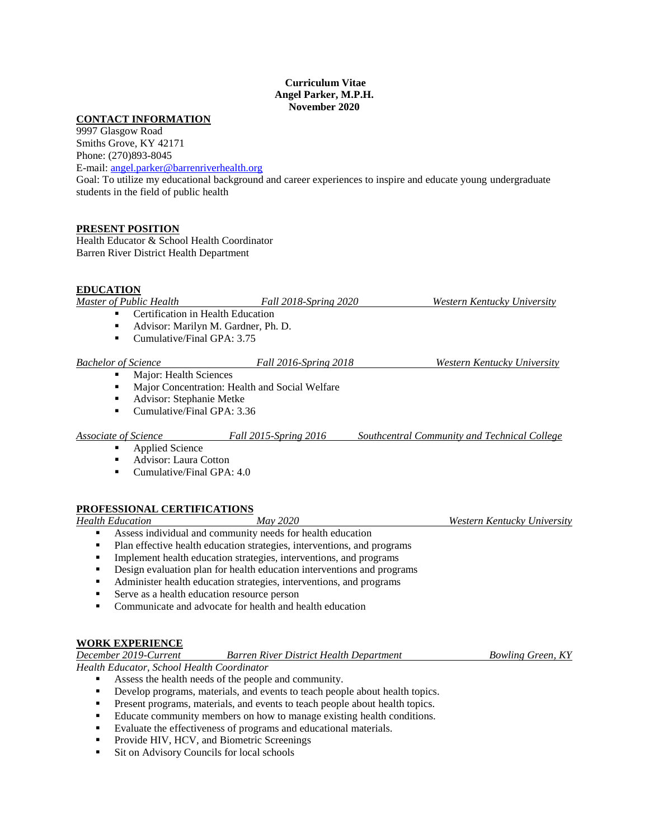#### **Curriculum Vitae Angel Parker, M.P.H. November 2020**

## **CONTACT INFORMATION**

9997 Glasgow Road Smiths Grove, KY 42171 Phone: (270)893-8045

E-mail: [angel.parker@barrenriverhealth.org](mailto:angel.parker@barrenriverhealth.org)

Goal: To utilize my educational background and career experiences to inspire and educate young undergraduate students in the field of public health

## **PRESENT POSITION**

Health Educator & School Health Coordinator Barren River District Health Department

#### **EDUCATION**

| Master of Public Health             | <i>Fall 2018-Spring 2020</i> | Western Kentucky University |
|-------------------------------------|------------------------------|-----------------------------|
| • Certification in Health Education |                              |                             |
| $\blacksquare$                      |                              |                             |

- Advisor: Marilyn M. Gardner, Ph. D.
- Cumulative/Final GPA: 3.75

# *Bachelor of Science Fall 2016-Spring 2018 Western Kentucky University*

- Major: Health Sciences
- **Major Concentration: Health and Social Welfare**
- Advisor: Stephanie Metke
- Cumulative/Final GPA: 3.36

#### *Associate of Science Fall 2015-Spring 2016 Southcentral Community and Technical College*

Applied Science

- **Advisor: Laura Cotton**
- **Cumulative/Final GPA: 4.0**

## **PROFESSIONAL CERTIFICATIONS**

*Health Education May 2020 Western Kentucky University*

- Assess individual and community needs for health education
- Plan effective health education strategies, interventions, and programs
- **Implement health education strategies, interventions, and programs**
- Design evaluation plan for health education interventions and programs
- Administer health education strategies, interventions, and programs
- Serve as a health education resource person
- Communicate and advocate for health and health education

## **WORK EXPERIENCE**

| December 2019-Current                      | <b>Barren River District Health Department</b> | <b>Bowling Green, KY</b> |
|--------------------------------------------|------------------------------------------------|--------------------------|
| Health Educator, School Health Coordinator |                                                |                          |

- Assess the health needs of the people and community.
- Develop programs, materials, and events to teach people about health topics.
- **Present programs, materials, and events to teach people about health topics.**
- Educate community members on how to manage existing health conditions.
- Evaluate the effectiveness of programs and educational materials.
- **Provide HIV, HCV, and Biometric Screenings**
- **Sit on Advisory Councils for local schools**